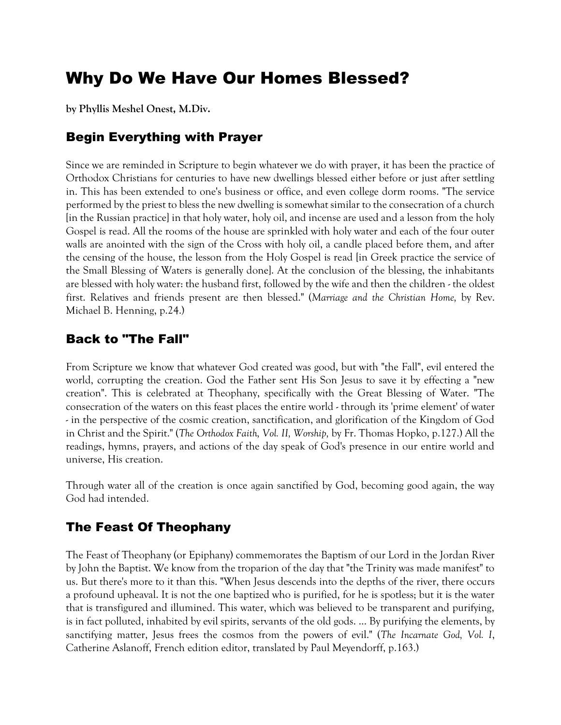# Why Do We Have Our Homes Blessed?

**by Phyllis Meshel Onest, M.Div.**

## Begin Everything with Prayer

Since we are reminded in Scripture to begin whatever we do with prayer, it has been the practice of Orthodox Christians for centuries to have new dwellings blessed either before or just after settling in. This has been extended to one's business or office, and even college dorm rooms. "The service performed by the priest to bless the new dwelling is somewhat similar to the consecration of a church [in the Russian practice] in that holy water, holy oil, and incense are used and a lesson from the holy Gospel is read. All the rooms of the house are sprinkled with holy water and each of the four outer walls are anointed with the sign of the Cross with holy oil, a candle placed before them, and after the censing of the house, the lesson from the Holy Gospel is read [in Greek practice the service of the Small Blessing of Waters is generally done]. At the conclusion of the blessing, the inhabitants are blessed with holy water: the husband first, followed by the wife and then the children - the oldest first. Relatives and friends present are then blessed." (*Marriage and the Christian Home,* by Rev. Michael B. Henning, p.24.)

## Back to "The Fall"

From Scripture we know that whatever God created was good, but with "the Fall", evil entered the world, corrupting the creation. God the Father sent His Son Jesus to save it by effecting a "new creation". This is celebrated at Theophany, specifically with the Great Blessing of Water. "The consecration of the waters on this feast places the entire world - through its 'prime element' of water - in the perspective of the cosmic creation, sanctification, and glorification of the Kingdom of God in Christ and the Spirit." (*The Orthodox Faith, Vol. II, Worship,* by Fr. Thomas Hopko, p.127.) All the readings, hymns, prayers, and actions of the day speak of God's presence in our entire world and universe, His creation.

Through water all of the creation is once again sanctified by God, becoming good again, the way God had intended.

## The Feast Of Theophany

The Feast of Theophany (or Epiphany) commemorates the Baptism of our Lord in the Jordan River by John the Baptist. We know from the troparion of the day that "the Trinity was made manifest" to us. But there's more to it than this. "When Jesus descends into the depths of the river, there occurs a profound upheaval. It is not the one baptized who is purified, for he is spotless; but it is the water that is transfigured and illumined. This water, which was believed to be transparent and purifying, is in fact polluted, inhabited by evil spirits, servants of the old gods. … By purifying the elements, by sanctifying matter, Jesus frees the cosmos from the powers of evil." (*The Incarnate God, Vol. I*, Catherine Aslanoff, French edition editor, translated by Paul Meyendorff, p.163.)